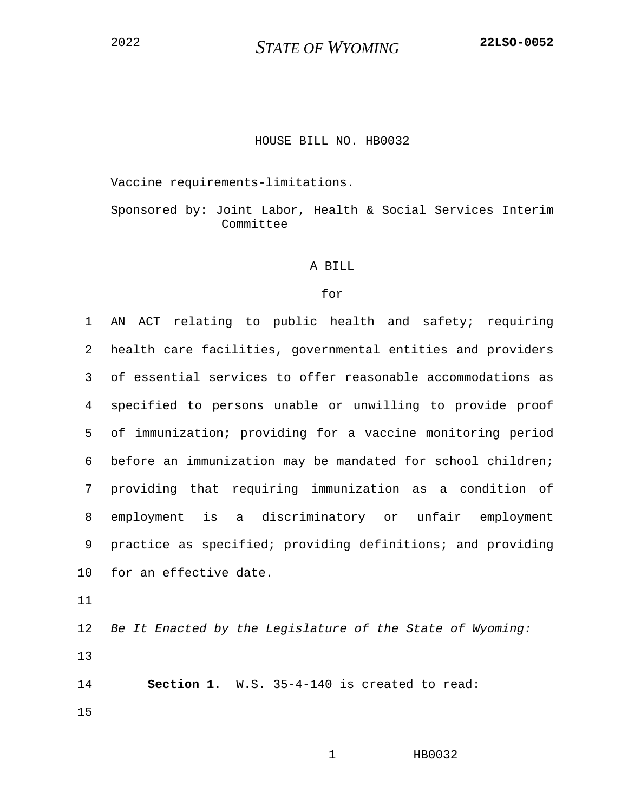<sup>2022</sup> *STATE OF WYOMING* **22LSO-0052**

## HOUSE BILL NO. HB0032

Vaccine requirements-limitations.

Sponsored by: Joint Labor, Health & Social Services Interim Committee

## A BILL

## for

1 AN ACT relating to public health and safety; requiring 2 health care facilities, governmental entities and providers 3 of essential services to offer reasonable accommodations as 4 specified to persons unable or unwilling to provide proof 5 of immunization; providing for a vaccine monitoring period 6 before an immunization may be mandated for school children; 7 providing that requiring immunization as a condition of 8 employment is a discriminatory or unfair employment 9 practice as specified; providing definitions; and providing 10 for an effective date.

11

12 *Be It Enacted by the Legislature of the State of Wyoming:* 13

14 **Section 1**. W.S. 35-4-140 is created to read: 15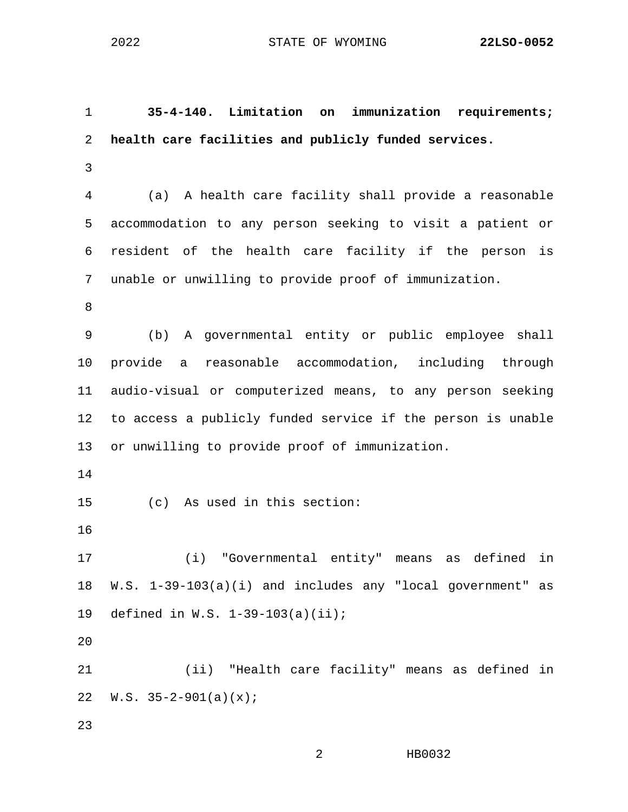2 HB0032 1 **35-4-140. Limitation on immunization requirements;**  2 **health care facilities and publicly funded services.** 3 4 (a) A health care facility shall provide a reasonable 5 accommodation to any person seeking to visit a patient or 6 resident of the health care facility if the person is 7 unable or unwilling to provide proof of immunization. 8 9 (b) A governmental entity or public employee shall 10 provide a reasonable accommodation, including through 11 audio-visual or computerized means, to any person seeking 12 to access a publicly funded service if the person is unable 13 or unwilling to provide proof of immunization. 14 15 (c) As used in this section: 16 17 (i) "Governmental entity" means as defined in 18 W.S. 1-39-103(a)(i) and includes any "local government" as 19 defined in W.S. 1-39-103(a)(ii); 20 21 (ii) "Health care facility" means as defined in 22  $W.S. 35-2-901(a)(x);$ 23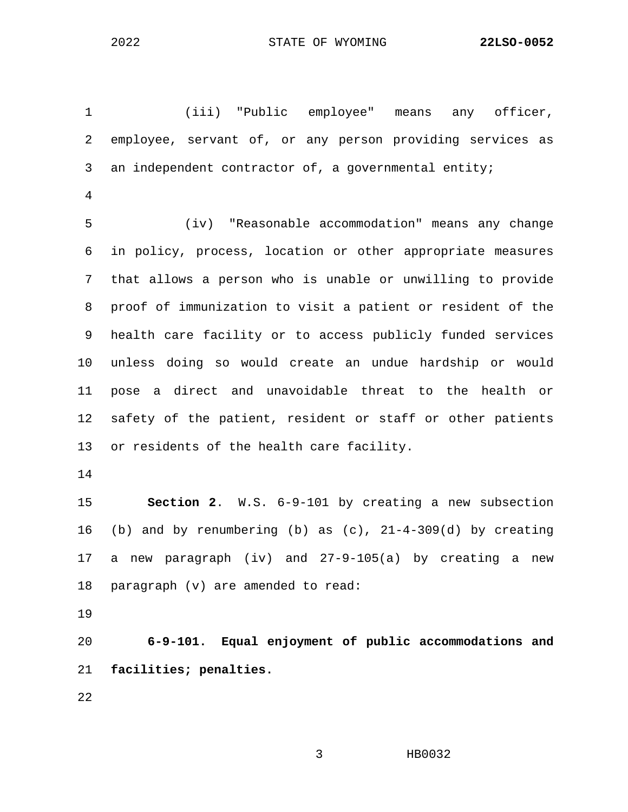1 (iii) "Public employee" means any officer, 2 employee, servant of, or any person providing services as 3 an independent contractor of, a governmental entity; 4 5 (iv) "Reasonable accommodation" means any change 6 in policy, process, location or other appropriate measures 7 that allows a person who is unable or unwilling to provide 8 proof of immunization to visit a patient or resident of the 9 health care facility or to access publicly funded services 10 unless doing so would create an undue hardship or would 11 pose a direct and unavoidable threat to the health or 12 safety of the patient, resident or staff or other patients 13 or residents of the health care facility. 14 15 **Section 2**. W.S. 6-9-101 by creating a new subsection 16 (b) and by renumbering (b) as (c), 21-4-309(d) by creating 17 a new paragraph (iv) and 27-9-105(a) by creating a new 18 paragraph (v) are amended to read: 19

20 **6-9-101. Equal enjoyment of public accommodations and**  21 **facilities; penalties.**

22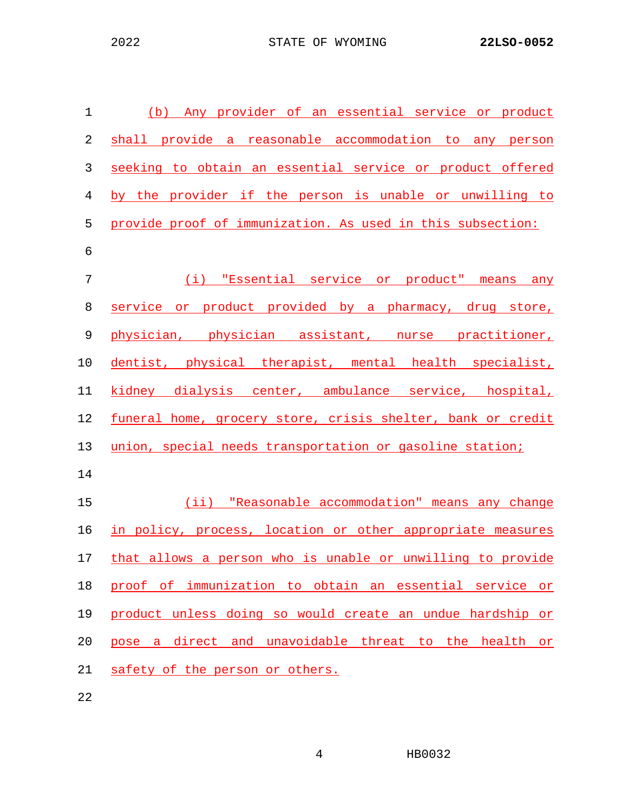| $\mathbf 1$ | (b) Any provider of an essential service or product         |
|-------------|-------------------------------------------------------------|
| 2           | shall provide a reasonable accommodation to any person      |
| 3           | seeking to obtain an essential service or product offered   |
| 4           | by the provider if the person is unable or unwilling to     |
| 5           | provide proof of immunization. As used in this subsection:  |
| 6           |                                                             |
| 7           | (i) "Essential service or product" means any                |
| 8           | service or product provided by a pharmacy, drug store,      |
| $\mathsf 9$ | physician, physician assistant, nurse practitioner,         |
| 10          | dentist, physical therapist, mental health specialist,      |
| 11          | kidney dialysis center, ambulance service, hospital,        |
| 12          | funeral home, grocery store, crisis shelter, bank or credit |
| 13          | union, special needs transportation or gasoline station;    |
| 14          |                                                             |
| 15          | (ii) "Reasonable accommodation" means any change            |
| 16          | in policy, process, location or other appropriate measures  |
| 17          | that allows a person who is unable or unwilling to provide  |
| 18          | proof of immunization to obtain an essential service or     |
| 19          | product unless doing so would create an undue hardship or   |
| 20          | pose a direct and unavoidable threat to the health or       |
| 21          | safety of the person or others.                             |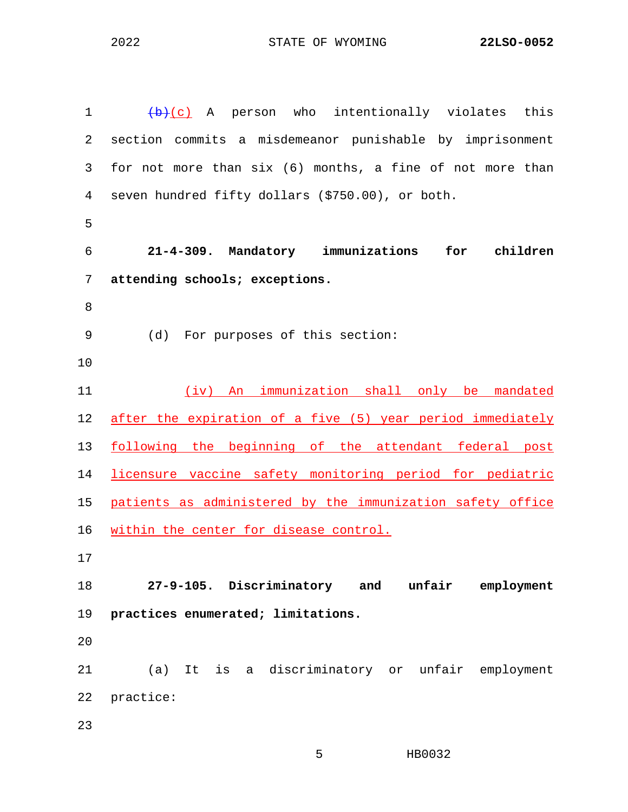| 1  | $\left(\frac{b}{c}\right)$ A person who intentionally violates this |
|----|---------------------------------------------------------------------|
| 2  | section commits a misdemeanor punishable by imprisonment            |
| 3  | for not more than six (6) months, a fine of not more than           |
| 4  | seven hundred fifty dollars (\$750.00), or both.                    |
| 5  |                                                                     |
| 6  | 21-4-309. Mandatory immunizations<br>for<br>children                |
| 7  | attending schools; exceptions.                                      |
| 8  |                                                                     |
| 9  | (d) For purposes of this section:                                   |
| 10 |                                                                     |
| 11 | (iv) An immunization shall only be mandated                         |
| 12 | after the expiration of a five (5) year period immediately          |
| 13 | following the beginning of the attendant federal post               |
| 14 | licensure vaccine safety monitoring period for pediatric            |
| 15 | patients as administered by the immunization safety office          |
| 16 | within the center for disease control.                              |
| 17 |                                                                     |
| 18 | 27-9-105. Discriminatory and unfair employment                      |
| 19 | practices enumerated; limitations.                                  |
| 20 |                                                                     |
| 21 | (a) It is a discriminatory or unfair employment                     |
| 22 | practice:                                                           |
| 23 |                                                                     |